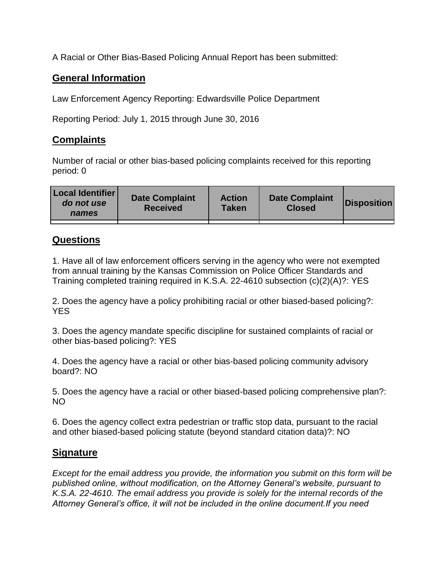A Racial or Other Bias-Based Policing Annual Report has been submitted:

## **General Information**

Law Enforcement Agency Reporting: Edwardsville Police Department

Reporting Period: July 1, 2015 through June 30, 2016

## **Complaints**

Number of racial or other bias-based policing complaints received for this reporting period: 0

| <b>Local Identifier</b><br>do not use<br>names | <b>Date Complaint</b><br><b>Received</b> | <b>Action</b><br><b>Taken</b> | <b>Date Complaint</b><br><b>Closed</b> | Disposition |
|------------------------------------------------|------------------------------------------|-------------------------------|----------------------------------------|-------------|
|                                                |                                          |                               |                                        |             |

## **Questions**

1. Have all of law enforcement officers serving in the agency who were not exempted from annual training by the Kansas Commission on Police Officer Standards and Training completed training required in K.S.A. 22-4610 subsection (c)(2)(A)?: YES

2. Does the agency have a policy prohibiting racial or other biased-based policing?: YES

3. Does the agency mandate specific discipline for sustained complaints of racial or other bias-based policing?: YES

4. Does the agency have a racial or other bias-based policing community advisory board?: NO

5. Does the agency have a racial or other biased-based policing comprehensive plan?: NO

6. Does the agency collect extra pedestrian or traffic stop data, pursuant to the racial and other biased-based policing statute (beyond standard citation data)?: NO

## **Signature**

*Except for the email address you provide, the information you submit on this form will be published online, without modification, on the Attorney General's website, pursuant to K.S.A. 22-4610. The email address you provide is solely for the internal records of the Attorney General's office, it will not be included in the online document.If you need*